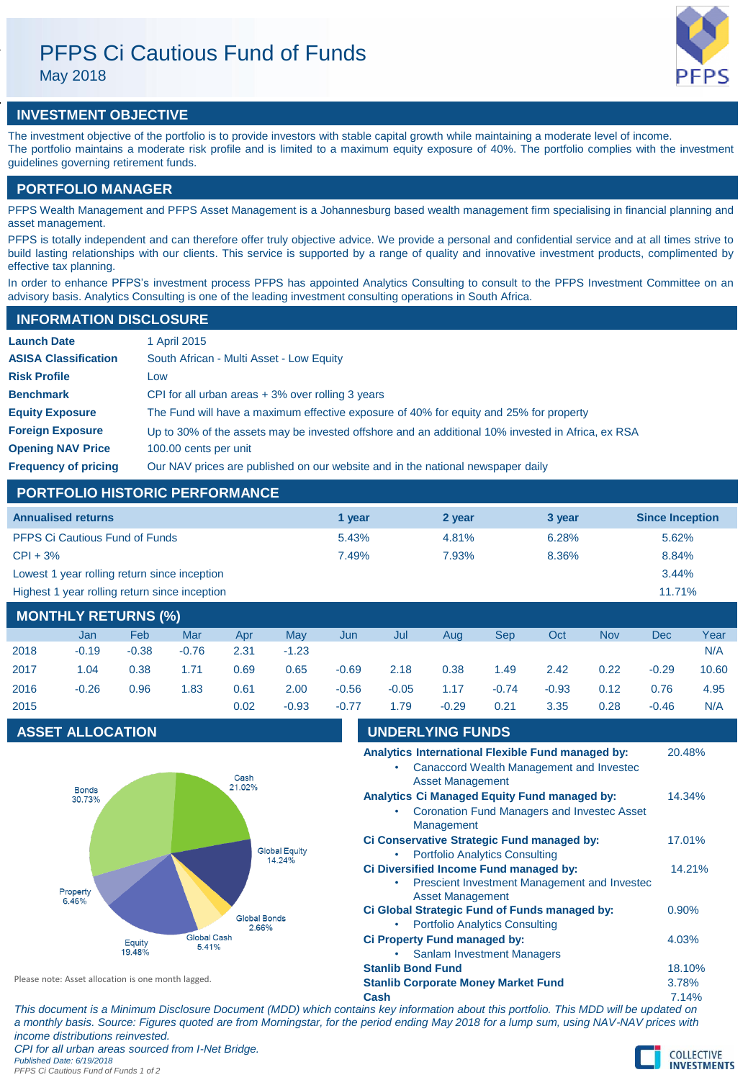# PFPS Ci Cautious Fund of Funds May 2018



# **INVESTMENT OBJECTIVE**

The investment objective of the portfolio is to provide investors with stable capital growth while maintaining a moderate level of income. The portfolio maintains a moderate risk profile and is limited to a maximum equity exposure of 40%. The portfolio complies with the investment guidelines governing retirement funds.

# **PORTFOLIO MANAGER**

PFPS Wealth Management and PFPS Asset Management is a Johannesburg based wealth management firm specialising in financial planning and asset management.

PFPS is totally independent and can therefore offer truly objective advice. We provide a personal and confidential service and at all times strive to build lasting relationships with our clients. This service is supported by a range of quality and innovative investment products, complimented by effective tax planning.

In order to enhance PFPS's investment process PFPS has appointed Analytics Consulting to consult to the PFPS Investment Committee on an advisory basis. Analytics Consulting is one of the leading investment consulting operations in South Africa.

# **INFORMATION DISCLOSURE**

| <b>Launch Date</b>          | 1 April 2015                                                                                      |
|-----------------------------|---------------------------------------------------------------------------------------------------|
| <b>ASISA Classification</b> | South African - Multi Asset - Low Equity                                                          |
| <b>Risk Profile</b>         | Low                                                                                               |
| <b>Benchmark</b>            | CPI for all urban areas $+3\%$ over rolling 3 years                                               |
| <b>Equity Exposure</b>      | The Fund will have a maximum effective exposure of 40% for equity and 25% for property            |
| <b>Foreign Exposure</b>     | Up to 30% of the assets may be invested offshore and an additional 10% invested in Africa, ex RSA |
| <b>Opening NAV Price</b>    | 100.00 cents per unit                                                                             |
| <b>Frequency of pricing</b> | Our NAV prices are published on our website and in the national newspaper daily                   |

# **PORTFOLIO HISTORIC PERFORMANCE**

| <b>Annualised returns</b>                               | 1 year | 2 year | 3 year | <b>Since Inception</b> |
|---------------------------------------------------------|--------|--------|--------|------------------------|
| <b>PFPS Ci Cautious Fund of Funds</b>                   | 5.43%  | 4.81%  | 6.28%  | 5.62%                  |
| $CPI + 3%$                                              | 7.49%  | 7.93%  | 8.36%  | 8.84%                  |
| Lowest 1 year rolling return since inception            |        |        |        | 3.44%                  |
| Highest 1 year rolling return since inception<br>11.71% |        |        |        |                        |
| <b>MONTHLY RETURNS (%)</b>                              |        |        |        |                        |

|      | Jan     | <b>Feb</b> | Mar     | Apr  | Mav     | Jun     | Jul     | Aug     | Sep     | Oct     | <b>Nov</b> | <b>Dec</b> | Year  |
|------|---------|------------|---------|------|---------|---------|---------|---------|---------|---------|------------|------------|-------|
| 2018 | $-0.19$ | $-0.38$    | $-0.76$ | 2.31 | $-1.23$ |         |         |         |         |         |            |            | N/A   |
| 2017 | 1.04    | 0.38       | 1.71    | 0.69 | 0.65    | $-0.69$ | 2.18    | 0.38    | 1.49    | 2.42    | 0.22       | $-0.29$    | 10.60 |
| 2016 | $-0.26$ | 0.96       | 1.83    | 0.61 | 2.00    | $-0.56$ | $-0.05$ | 1.17    | $-0.74$ | $-0.93$ | 0.12       | 0.76       | 4.95  |
| 2015 |         |            |         | 0.02 | $-0.93$ | $-0.77$ | 1.79    | $-0.29$ | 0.21    | 3.35    | 0.28       | $-0.46$    | N/A   |

# **ASSET ALLOCATION UNDERLYING FUNDS**



| Analytics International Flexible Fund managed by:<br>Canaccord Wealth Management and Invested<br><b>Asset Management</b> | 20.48% |
|--------------------------------------------------------------------------------------------------------------------------|--------|
| <b>Analytics Ci Managed Equity Fund managed by:</b>                                                                      | 14.34% |
| <b>Coronation Fund Managers and Investec Asset</b><br><b>Management</b>                                                  |        |
| Ci Conservative Strategic Fund managed by:                                                                               | 17.01% |
| <b>Portfolio Analytics Consulting</b>                                                                                    |        |
| Ci Diversified Income Fund managed by:                                                                                   | 14.21% |
| Prescient Investment Management and Invested<br><b>Asset Management</b>                                                  |        |
| Ci Global Strategic Fund of Funds managed by:                                                                            | 0.90%  |
| <b>Portfolio Analytics Consulting</b><br>$\bullet$                                                                       |        |
| Ci Property Fund managed by:                                                                                             | 4.03%  |
| <b>Sanlam Investment Managers</b>                                                                                        |        |
| <b>Stanlib Bond Fund</b>                                                                                                 | 18.10% |
| <b>Stanlib Corporate Money Market Fund</b>                                                                               | 3.78%  |
| Cash                                                                                                                     | 7.14%  |

Please note: Asset allocation is one month lagged.

*This document is a Minimum Disclosure Document (MDD) which contains key information about this portfolio. This MDD will be updated on a monthly basis. Source: Figures quoted are from Morningstar, for the period ending May 2018 for a lump sum, using NAV-NAV prices with income distributions reinvested.*

*CPI for all urban areas sourced from I-Net Bridge. Published Date: 6/19/2018*